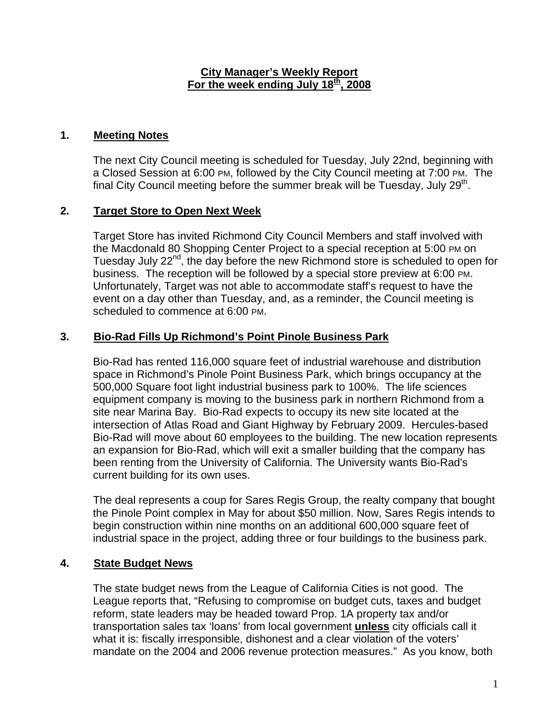#### **City Manager's Weekly Report For the week ending July 18th, 2008**

### **1. Meeting Notes**

The next City Council meeting is scheduled for Tuesday, July 22nd, beginning with a Closed Session at 6:00 PM, followed by the City Council meeting at 7:00 PM. The final City Council meeting before the summer break will be Tuesday, July  $29<sup>th</sup>$ .

### **2. Target Store to Open Next Week**

Target Store has invited Richmond City Council Members and staff involved with the Macdonald 80 Shopping Center Project to a special reception at 5:00 PM on Tuesday July 22nd, the day before the new Richmond store is scheduled to open for business. The reception will be followed by a special store preview at 6:00 PM. Unfortunately, Target was not able to accommodate staff's request to have the event on a day other than Tuesday, and, as a reminder, the Council meeting is scheduled to commence at 6:00 PM.

#### **3. Bio-Rad Fills Up Richmond's Point Pinole Business Park**

Bio-Rad has rented 116,000 square feet of industrial warehouse and distribution space in Richmond's Pinole Point Business Park, which brings occupancy at the 500,000 Square foot light industrial business park to 100%. The life sciences equipment company is moving to the business park in northern Richmond from a site near Marina Bay. Bio-Rad expects to occupy its new site located at the intersection of Atlas Road and Giant Highway by February 2009. Hercules-based Bio-Rad will move about 60 employees to the building. The new location represents an expansion for Bio-Rad, which will exit a smaller building that the company has been renting from the University of California. The University wants Bio-Rad's current building for its own uses.

The deal represents a coup for Sares Regis Group, the realty company that bought the Pinole Point complex in May for about \$50 million. Now, Sares Regis intends to begin construction within nine months on an additional 600,000 square feet of industrial space in the project, adding three or four buildings to the business park.

# **4. State Budget News**

The state budget news from the League of California Cities is not good. The League reports that, "Refusing to compromise on budget cuts, taxes and budget reform, state leaders may be headed toward Prop. 1A property tax and/or transportation sales tax 'loans' from local government **unless** city officials call it what it is: fiscally irresponsible, dishonest and a clear violation of the voters' mandate on the 2004 and 2006 revenue protection measures." As you know, both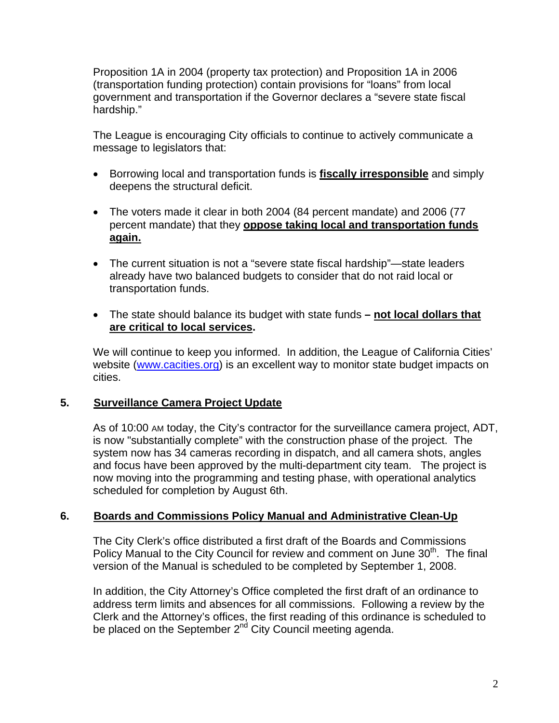Proposition 1A in 2004 (property tax protection) and Proposition 1A in 2006 (transportation funding protection) contain provisions for "loans" from local government and transportation if the Governor declares a "severe state fiscal hardship."

The League is encouraging City officials to continue to actively communicate a message to legislators that:

- Borrowing local and transportation funds is **fiscally irresponsible** and simply deepens the structural deficit.
- The voters made it clear in both 2004 (84 percent mandate) and 2006 (77 percent mandate) that they **oppose taking local and transportation funds again.**
- The current situation is not a "severe state fiscal hardship"—state leaders already have two balanced budgets to consider that do not raid local or transportation funds.
- The state should balance its budget with state funds  **not local dollars that are critical to local services.**

We will continue to keep you informed. In addition, the League of California Cities' website ([www.cacities.org](http://www.cacities.org/)) is an excellent way to monitor state budget impacts on cities.

#### **5. Surveillance Camera Project Update**

As of 10:00 AM today, the City's contractor for the surveillance camera project, ADT, is now "substantially complete" with the construction phase of the project. The system now has 34 cameras recording in dispatch, and all camera shots, angles and focus have been approved by the multi-department city team. The project is now moving into the programming and testing phase, with operational analytics scheduled for completion by August 6th.

#### **6. Boards and Commissions Policy Manual and Administrative Clean-Up**

The City Clerk's office distributed a first draft of the Boards and Commissions Policy Manual to the City Council for review and comment on June  $30<sup>th</sup>$ . The final version of the Manual is scheduled to be completed by September 1, 2008.

In addition, the City Attorney's Office completed the first draft of an ordinance to address term limits and absences for all commissions. Following a review by the Clerk and the Attorney's offices, the first reading of this ordinance is scheduled to be placed on the September 2<sup>nd</sup> City Council meeting agenda.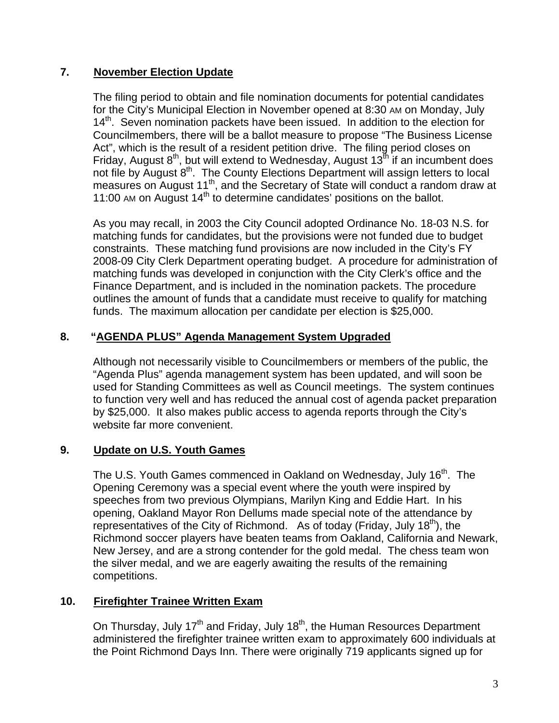### **7. November Election Update**

The filing period to obtain and file nomination documents for potential candidates for the City's Municipal Election in November opened at 8:30 AM on Monday, July 14<sup>th</sup>. Seven nomination packets have been issued. In addition to the election for Councilmembers, there will be a ballot measure to propose "The Business License Act", which is the result of a resident petition drive. The filing period closes on Friday, August  $8<sup>th</sup>$ , but will extend to Wednesday, August 13<sup>th</sup> if an incumbent does not file by August 8<sup>th</sup>. The County Elections Department will assign letters to local measures on August 11<sup>th</sup>, and the Secretary of State will conduct a random draw at 11:00 AM on August  $14<sup>th</sup>$  to determine candidates' positions on the ballot.

As you may recall, in 2003 the City Council adopted Ordinance No. 18-03 N.S. for matching funds for candidates, but the provisions were not funded due to budget constraints. These matching fund provisions are now included in the City's FY 2008-09 City Clerk Department operating budget. A procedure for administration of matching funds was developed in conjunction with the City Clerk's office and the Finance Department, and is included in the nomination packets. The procedure outlines the amount of funds that a candidate must receive to qualify for matching funds. The maximum allocation per candidate per election is \$25,000.

# **8. "AGENDA PLUS" Agenda Management System Upgraded**

Although not necessarily visible to Councilmembers or members of the public, the "Agenda Plus" agenda management system has been updated, and will soon be used for Standing Committees as well as Council meetings. The system continues to function very well and has reduced the annual cost of agenda packet preparation by \$25,000. It also makes public access to agenda reports through the City's website far more convenient.

#### **9. Update on U.S. Youth Games**

The U.S. Youth Games commenced in Oakland on Wednesday, July 16<sup>th</sup>. The Opening Ceremony was a special event where the youth were inspired by speeches from two previous Olympians, Marilyn King and Eddie Hart. In his opening, Oakland Mayor Ron Dellums made special note of the attendance by representatives of the City of Richmond. As of today (Friday, July 18<sup>th</sup>), the Richmond soccer players have beaten teams from Oakland, California and Newark, New Jersey, and are a strong contender for the gold medal. The chess team won the silver medal, and we are eagerly awaiting the results of the remaining competitions.

#### **10. Firefighter Trainee Written Exam**

On Thursday, July 17<sup>th</sup> and Friday, July 18<sup>th</sup>, the Human Resources Department administered the firefighter trainee written exam to approximately 600 individuals at the Point Richmond Days Inn. There were originally 719 applicants signed up for